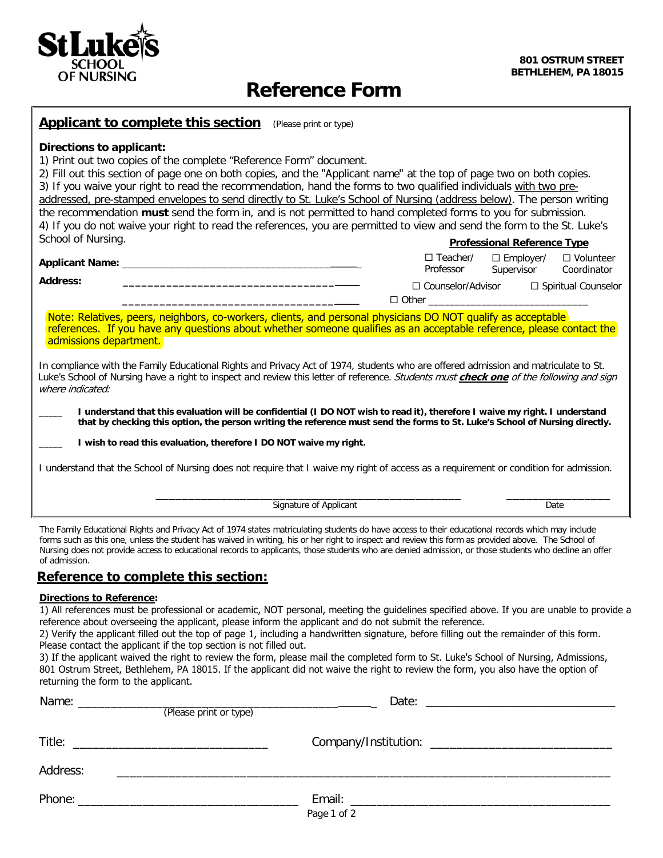

# **Reference Form**

|  |  | <b>Applicant to complete this section</b> | (Please print or type) |
|--|--|-------------------------------------------|------------------------|
|--|--|-------------------------------------------|------------------------|

# **Directions to applicant:**

1) Print out two copies of the complete "Reference Form" document.

2) Fill out this section of page one on both copies, and the "Applicant name" at the top of page two on both copies. 3) If you waive your right to read the recommendation, hand the forms to two qualified individuals with two preaddressed, pre-stamped envelopes to send directly to St. Luke's School of Nursing (address below). The person writing the recommendation **must** send the form in, and is not permitted to hand completed forms to you for submission. 4) If you do not waive your right to read the references, you are permitted to view and send the form to the St. Luke's School of Nursing. **Professional Reference Type** 

| <b>Applicant Name:</b> | $\Box$ Teacher/                     | $\Box$ Employer/ | $\Box$ Volunteer      |
|------------------------|-------------------------------------|------------------|-----------------------|
|                        | Professor                           | Supervisor       | Coordinator           |
| <b>Address:</b>        | □ Counselor/Advisor<br>$\Box$ Other |                  | □ Spiritual Counselor |

Note: Relatives, peers, neighbors, co-workers, clients, and personal physicians DO NOT qualify as acceptable references. If you have any questions about whether someone qualifies as an acceptable reference, please contact the admissions department.

In compliance with the Family Educational Rights and Privacy Act of 1974, students who are offered admission and matriculate to St. Luke's School of Nursing have a right to inspect and review this letter of reference. Students must **check one** of the following and sign where indicated:

\_\_\_\_\_ **I understand that this evaluation will be confidential (I DO NOT wish to read it), therefore I waive my right. I understand that by checking this option, the person writing the reference must send the forms to St. Luke's School of Nursing directly.**

\_\_\_\_\_ **I wish to read this evaluation, therefore I DO NOT waive my right.**

I understand that the School of Nursing does not require that I waive my right of access as a requirement or condition for admission.

\_\_\_\_\_\_\_\_\_\_\_\_\_\_\_\_\_\_\_\_\_\_\_\_\_\_\_\_\_\_\_\_\_\_\_\_\_\_\_\_\_\_\_\_\_\_\_ \_\_\_\_\_\_\_\_\_\_\_\_\_\_\_\_ Signature of Applicant Date Controller and Date Date The Family Educational Rights and Privacy Act of 1974 states matriculating students do have access to their educational records which may include

forms such as this one, unless the student has waived in writing, his or her right to inspect and review this form as provided above. The School of Nursing does not provide access to educational records to applicants, those students who are denied admission, or those students who decline an offer of admission.

# **Reference to complete this section:**

#### **Directions to Reference:**

1) All references must be professional or academic, NOT personal, meeting the guidelines specified above. If you are unable to provide a reference about overseeing the applicant, please inform the applicant and do not submit the reference.

2) Verify the applicant filled out the top of page 1, including a handwritten signature, before filling out the remainder of this form. Please contact the applicant if the top section is not filled out.

3) If the applicant waived the right to review the form, please mail the completed form to St. Luke's School of Nursing, Admissions, 801 Ostrum Street, Bethlehem, PA 18015. If the applicant did not waive the right to review the form, you also have the option of returning the form to the applicant.

|          | (Please print or type) |             |  |
|----------|------------------------|-------------|--|
|          |                        |             |  |
| Address: |                        |             |  |
|          |                        | Page 1 of 2 |  |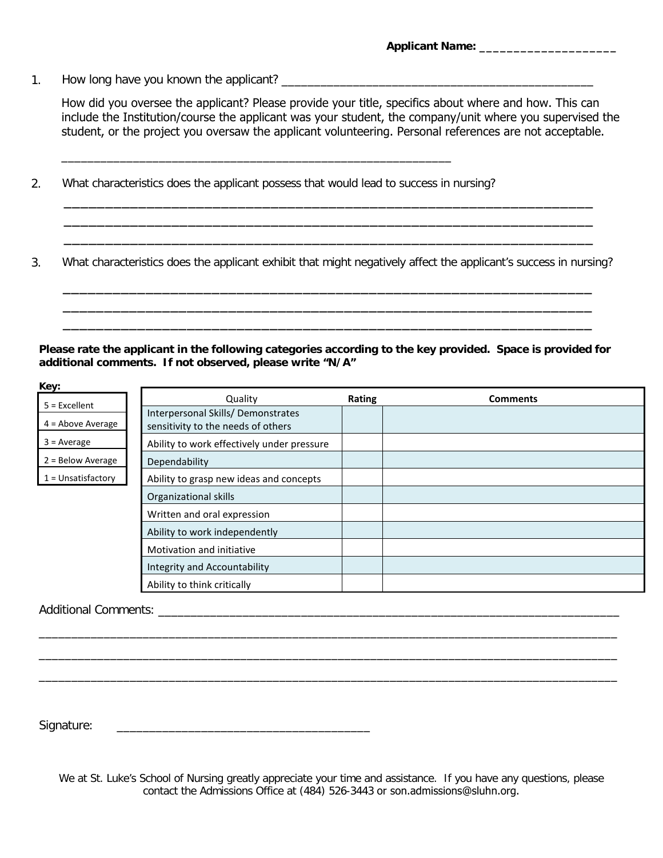1. How long have you known the applicant? \_\_\_\_\_\_\_\_\_\_\_\_\_\_\_\_\_\_\_\_\_\_\_\_\_\_\_\_\_\_\_\_\_\_\_\_\_\_\_\_\_\_\_\_\_\_\_\_

How did you oversee the applicant? Please provide your title, specifics about where and how. This can include the Institution/course the applicant was your student, the company/unit where you supervised the student, or the project you oversaw the applicant volunteering. Personal references are not acceptable.

What characteristics does the applicant possess that would lead to success in nursing? 2.

\_\_\_\_\_\_\_\_\_\_\_\_\_\_\_\_\_\_\_\_\_\_\_\_\_\_\_\_\_\_\_\_\_\_\_\_\_\_\_\_\_\_\_\_\_\_\_\_\_\_\_\_\_\_\_\_\_\_\_\_

What characteristics does the applicant exhibit that might negatively affect the applicant's success in nursing? 3.

\_\_\_\_\_\_\_\_\_\_\_\_\_\_\_\_\_\_\_\_\_\_\_\_\_\_\_\_\_\_\_\_\_\_\_\_\_\_\_\_\_\_\_\_\_\_\_\_\_\_\_\_\_\_\_\_\_\_\_\_\_\_\_\_ \_\_\_\_\_\_\_\_\_\_\_\_\_\_\_\_\_\_\_\_\_\_\_\_\_\_\_\_\_\_\_\_\_\_\_\_\_\_\_\_\_\_\_\_\_\_\_\_\_\_\_\_\_\_\_\_\_\_\_\_\_\_\_\_ \_\_\_\_\_\_\_\_\_\_\_\_\_\_\_\_\_\_\_\_\_\_\_\_\_\_\_\_\_\_\_\_\_\_\_\_\_\_\_\_\_\_\_\_\_\_\_\_\_\_\_\_\_\_\_\_\_\_\_\_\_\_\_\_

\_\_\_\_\_\_\_\_\_\_\_\_\_\_\_\_\_\_\_\_\_\_\_\_\_\_\_\_\_\_\_\_\_\_\_\_\_\_\_\_\_\_\_\_\_\_\_\_\_\_\_\_\_\_\_\_\_\_\_\_\_\_\_\_ \_\_\_\_\_\_\_\_\_\_\_\_\_\_\_\_\_\_\_\_\_\_\_\_\_\_\_\_\_\_\_\_\_\_\_\_\_\_\_\_\_\_\_\_\_\_\_\_\_\_\_\_\_\_\_\_\_\_\_\_\_\_\_\_ \_\_\_\_\_\_\_\_\_\_\_\_\_\_\_\_\_\_\_\_\_\_\_\_\_\_\_\_\_\_\_\_\_\_\_\_\_\_\_\_\_\_\_\_\_\_\_\_\_\_\_\_\_\_\_\_\_\_\_\_\_\_\_\_

**Please rate the applicant in the following categories according to the key provided. Space is provided for additional comments. If not observed, please write "N/A"**

| Key:                 |                                            |        |                 |
|----------------------|--------------------------------------------|--------|-----------------|
| $5$ = Excellent      | Quality                                    | Rating | <b>Comments</b> |
|                      | Interpersonal Skills/Demonstrates          |        |                 |
| $4 =$ Above Average  | sensitivity to the needs of others         |        |                 |
| $3 = Average$        | Ability to work effectively under pressure |        |                 |
| 2 = Below Average    | Dependability                              |        |                 |
| $1 =$ Unsatisfactory | Ability to grasp new ideas and concepts    |        |                 |
|                      | Organizational skills                      |        |                 |
|                      | Written and oral expression                |        |                 |
|                      | Ability to work independently              |        |                 |
|                      | Motivation and initiative                  |        |                 |
|                      | Integrity and Accountability               |        |                 |
|                      | Ability to think critically                |        |                 |

# Additional Comments: \_\_\_\_\_\_\_\_\_\_\_\_\_\_\_\_\_\_\_\_\_\_\_\_\_\_\_\_\_\_\_\_\_\_\_\_\_\_\_\_\_\_\_\_\_\_\_\_\_\_\_\_\_\_\_\_\_\_\_\_\_\_\_\_\_\_\_\_\_\_\_

Signature: \_\_\_\_\_\_\_\_\_\_\_\_\_\_\_\_\_\_\_\_\_\_\_\_\_\_\_\_\_\_\_\_\_\_\_\_\_\_\_

We at St. Luke's School of Nursing greatly appreciate your time and assistance. If you have any questions, please contact the Admissions Office at (484) 526-3443 or son.admissions@sluhn.org.

\_\_\_\_\_\_\_\_\_\_\_\_\_\_\_\_\_\_\_\_\_\_\_\_\_\_\_\_\_\_\_\_\_\_\_\_\_\_\_\_\_\_\_\_\_\_\_\_\_\_\_\_\_\_\_\_\_\_\_\_\_\_\_\_\_\_\_\_\_\_\_\_\_\_\_\_\_\_\_\_\_\_\_\_\_\_\_\_\_ \_\_\_\_\_\_\_\_\_\_\_\_\_\_\_\_\_\_\_\_\_\_\_\_\_\_\_\_\_\_\_\_\_\_\_\_\_\_\_\_\_\_\_\_\_\_\_\_\_\_\_\_\_\_\_\_\_\_\_\_\_\_\_\_\_\_\_\_\_\_\_\_\_\_\_\_\_\_\_\_\_\_\_\_\_\_\_\_\_ \_\_\_\_\_\_\_\_\_\_\_\_\_\_\_\_\_\_\_\_\_\_\_\_\_\_\_\_\_\_\_\_\_\_\_\_\_\_\_\_\_\_\_\_\_\_\_\_\_\_\_\_\_\_\_\_\_\_\_\_\_\_\_\_\_\_\_\_\_\_\_\_\_\_\_\_\_\_\_\_\_\_\_\_\_\_\_\_\_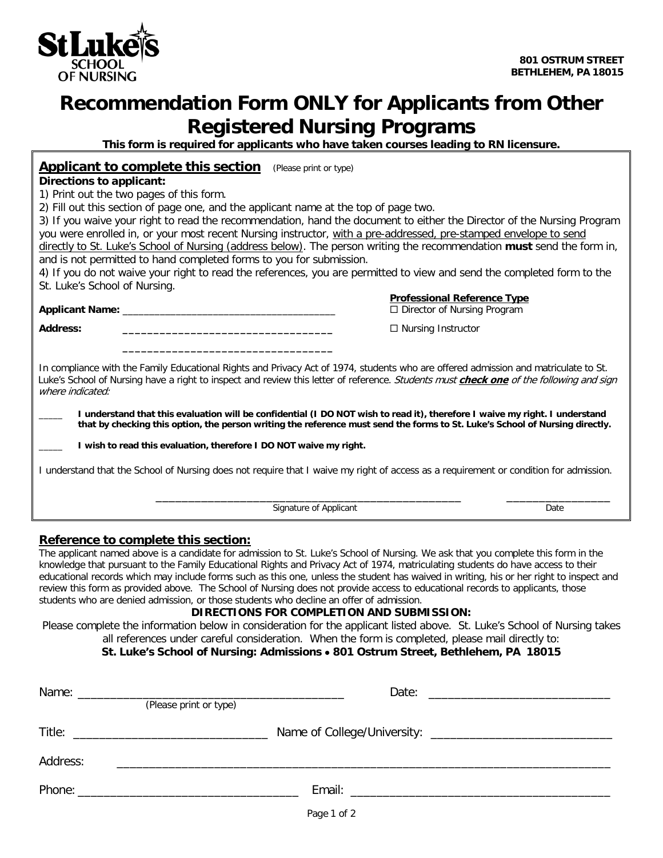

# **Recommendation Form ONLY for Applicants from Other Registered Nursing Programs**

**This form is required for applicants who have taken courses leading to RN licensure.**

# **Applicant to complete this section** (Please print or type)

#### **Directions to applicant:**

1) Print out the two pages of this form.

2) Fill out this section of page one, and the applicant name at the top of page two.

3) If you waive your right to read the recommendation, hand the document to either the Director of the Nursing Program you were enrolled in, or your most recent Nursing instructor, with a pre-addressed, pre-stamped envelope to send directly to St. Luke's School of Nursing (address below). The person writing the recommendation **must** send the form in, and is not permitted to hand completed forms to you for submission.

4) If you do not waive your right to read the references, you are permitted to view and send the completed form to the St. Luke's School of Nursing.

**Applicant Name:** \_\_\_\_\_\_\_\_\_\_\_\_\_\_\_\_\_\_\_\_\_\_\_\_\_\_\_\_\_\_\_\_\_\_\_\_\_\_\_\_ Director of Nursing Program **Address: \_\_\_\_\_\_\_\_\_\_\_\_\_\_\_\_\_\_\_\_\_\_\_\_\_\_\_\_\_\_\_\_\_\_** Nursing Instructor

**Professional Reference Type**

In compliance with the Family Educational Rights and Privacy Act of 1974, students who are offered admission and matriculate to St. Luke's School of Nursing have a right to inspect and review this letter of reference. Students must **check one** of the following and sign where indicated:

\_\_\_\_\_ **I understand that this evaluation will be confidential (I DO NOT wish to read it), therefore I waive my right. I understand that by checking this option, the person writing the reference must send the forms to St. Luke's School of Nursing directly.**

\_\_\_\_\_ **I wish to read this evaluation, therefore I DO NOT waive my right.**

 **\_\_\_\_\_\_\_\_\_\_\_\_\_\_\_\_\_\_\_\_\_\_\_\_\_\_\_\_\_\_\_\_\_\_**

I understand that the School of Nursing does not require that I waive my right of access as a requirement or condition for admission.

example of Applicant and the Signature of Applicant and the Signature of Applicant Date

# **Reference to complete this section:**

The applicant named above is a candidate for admission to St. Luke's School of Nursing. We ask that you complete this form in the knowledge that pursuant to the Family Educational Rights and Privacy Act of 1974, matriculating students do have access to their educational records which may include forms such as this one, unless the student has waived in writing, his or her right to inspect and review this form as provided above. The School of Nursing does not provide access to educational records to applicants, those students who are denied admission, or those students who decline an offer of admission.

# **DIRECTIONS FOR COMPLETION AND SUBMISSION:**

Please complete the information below in consideration for the applicant listed above. St. Luke's School of Nursing takes all references under careful consideration. When the form is completed, please mail directly to:

# **St. Luke's School of Nursing: Admissions** • **801 Ostrum Street, Bethlehem, PA 18015**

|          | (Please print or type)                        |             |  |
|----------|-----------------------------------------------|-------------|--|
|          |                                               |             |  |
| Address: | <u> 1980 - Andrea Andrew Maria (h. 1980).</u> |             |  |
|          |                                               |             |  |
|          |                                               | Page 1 of 2 |  |